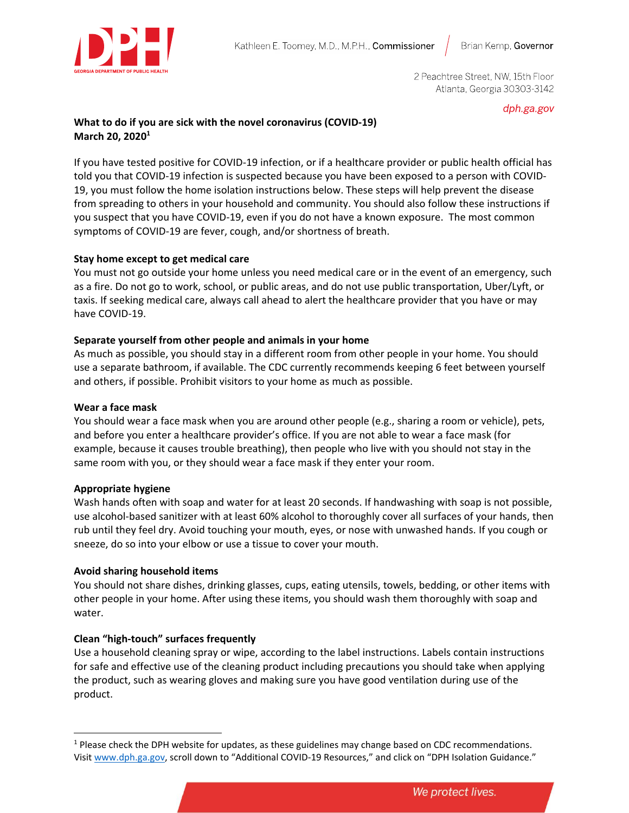

2 Peachtree Street, NW, 15th Floor Atlanta, Georgia 30303-3142

dph.ga.gov

# **What to do if you are sick with the novel coronavirus (COVID-19) March 20, 2020<sup>1</sup>**

If you have tested positive for COVID-19 infection, or if a healthcare provider or public health official has told you that COVID-19 infection is suspected because you have been exposed to a person with COVID-19, you must follow the home isolation instructions below. These steps will help prevent the disease from spreading to others in your household and community. You should also follow these instructions if you suspect that you have COVID-19, even if you do not have a known exposure. The most common symptoms of COVID-19 are fever, cough, and/or shortness of breath.

# **Stay home except to get medical care**

You must not go outside your home unless you need medical care or in the event of an emergency, such as a fire. Do not go to work, school, or public areas, and do not use public transportation, Uber/Lyft, or taxis. If seeking medical care, always call ahead to alert the healthcare provider that you have or may have COVID-19.

# **Separate yourself from other people and animals in your home**

As much as possible, you should stay in a different room from other people in your home. You should use a separate bathroom, if available. The CDC currently recommends keeping 6 feet between yourself and others, if possible. Prohibit visitors to your home as much as possible.

## **Wear a face mask**

You should wear a face mask when you are around other people (e.g., sharing a room or vehicle), pets, and before you enter a healthcare provider's office. If you are not able to wear a face mask (for example, because it causes trouble breathing), then people who live with you should not stay in the same room with you, or they should wear a face mask if they enter your room.

## **Appropriate hygiene**

Wash hands often with soap and water for at least 20 seconds. If handwashing with soap is not possible, use alcohol-based sanitizer with at least 60% alcohol to thoroughly cover all surfaces of your hands, then rub until they feel dry. Avoid touching your mouth, eyes, or nose with unwashed hands. If you cough or sneeze, do so into your elbow or use a tissue to cover your mouth.

## **Avoid sharing household items**

You should not share dishes, drinking glasses, cups, eating utensils, towels, bedding, or other items with other people in your home. After using these items, you should wash them thoroughly with soap and water.

## **Clean "high-touch" surfaces frequently**

Use a household cleaning spray or wipe, according to the label instructions. Labels contain instructions for safe and effective use of the cleaning product including precautions you should take when applying the product, such as wearing gloves and making sure you have good ventilation during use of the product.

<sup>&</sup>lt;sup>1</sup> Please check the DPH website for updates, as these guidelines may change based on CDC recommendations. Visit [www.dph.ga.gov,](http://www.dph.ga.gov/) scroll down to "Additional COVID-19 Resources," and click on "DPH Isolation Guidance."